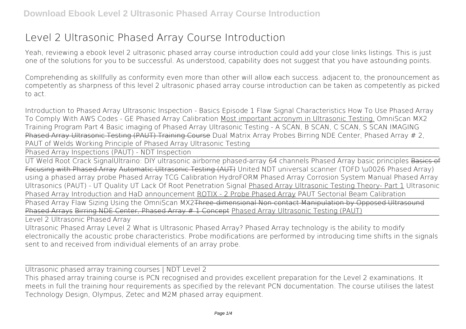## **Level 2 Ultrasonic Phased Array Course Introduction**

Yeah, reviewing a ebook **level 2 ultrasonic phased array course introduction** could add your close links listings. This is just one of the solutions for you to be successful. As understood, capability does not suggest that you have astounding points.

Comprehending as skillfully as conformity even more than other will allow each success. adjacent to, the pronouncement as competently as sharpness of this level 2 ultrasonic phased array course introduction can be taken as competently as picked to act.

*Introduction to Phased Array Ultrasonic Inspection - Basics Episode 1 Flaw Signal Characteristics* How To Use Phased Array To Comply With AWS Codes - GE *Phased Array Calibration* Most important acronym in Ultrasonic Testing. OmniScan MX2 Training Program Part 4 Basic imaging of Phased Array Ultrasonic Testing - A SCAN, B SCAN, C SCAN, S SCAN IMAGING Phased Array Ultrasonic Testing (PAUT) Training Course *Dual Matrix Array Probes* Birring NDE Center, Phased Array # 2, PAUT of Welds Working Principle of Phased Array Ultrasonic Testing

Phased Array Inspections (PAUT) - NDT Inspection

UT Weld Root Crack Signal*Ultraino: DIY ultrasonic airborne phased-array 64 channels* Phased Array basic principles Basics of Focusing with Phased Array Automatic Ultrasonic Testing (AUT) *United NDT universal scanner (TOFD \u0026 Phased Array) using a phased array probe* **Phased Array TCG Calibration** *HydroFORM Phased Array Corrosion System* Manual Phased Array Ultrasonics (PAUT) - UT Quality *UT Lack Of Root Penetration Signal* Phased Array Ultrasonic Testing Theory- Part 1 **Ultrasonic Phased Array Introduction and HaD announcement** ROTIX - 2 Probe Phased Array PAUT Sectorial Beam Calibration

Phased Array Flaw Sizing Using the OmniScan MX2<del>Three dimensional Non-contact Manipulation by Opposed Ultrasound</del> Phased Arrays Birring NDE Center, Phased Array # 1 Concept Phased Array Ultrasonic Testing (PAUT)

Level 2 Ultrasonic Phased Array

Ultrasonic Phased Array Level 2 What is Ultrasonic Phased Array? Phased Array technology is the ability to modify electronically the acoustic probe characteristics. Probe modifications are performed by introducing time shifts in the signals sent to and received from individual elements of an array probe.

Ultrasonic phased array training courses | NDT Level 2

This phased array training course is PCN recognised and provides excellent preparation for the Level 2 examinations. It meets in full the training hour requirements as specified by the relevant PCN documentation. The course utilises the latest Technology Design, Olympus, Zetec and M2M phased array equipment.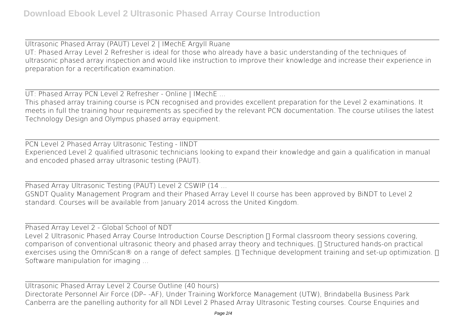Ultrasonic Phased Array (PAUT) Level 2 | IMechE Argyll Ruane UT: Phased Array Level 2 Refresher is ideal for those who already have a basic understanding of the techniques of ultrasonic phased array inspection and would like instruction to improve their knowledge and increase their experience in preparation for a recertification examination.

UT: Phased Array PCN Level 2 Refresher - Online | IMechE ...

This phased array training course is PCN recognised and provides excellent preparation for the Level 2 examinations. It meets in full the training hour requirements as specified by the relevant PCN documentation. The course utilises the latest Technology Design and Olympus phased array equipment.

PCN Level 2 Phased Array Ultrasonic Testing - IINDT Experienced Level 2 qualified ultrasonic technicians looking to expand their knowledge and gain a qualification in manual and encoded phased array ultrasonic testing (PAUT).

Phased Array Ultrasonic Testing (PAUT) Level 2 CSWIP (14 ... GSNDT Quality Management Program and their Phased Array Level II course has been approved by BiNDT to Level 2 standard. Courses will be available from January 2014 across the United Kingdom.

Phased Array Level 2 - Global School of NDT Level 2 Ultrasonic Phased Array Course Introduction Course Description  $\Pi$  Formal classroom theory sessions covering, comparison of conventional ultrasonic theory and phased array theory and techniques.  $\Pi$  Structured hands-on practical exercises using the OmniScan® on a range of defect samples.  $\Pi$  Technique development training and set-up optimization.  $\Pi$ Software manipulation for imaging ...

Ultrasonic Phased Array Level 2 Course Outline (40 hours) Directorate Personnel Air Force (DP– -AF), Under Training Workforce Management (UTW), Brindabella Business Park Canberra are the panelling authority for all NDI Level 2 Phased Array Ultrasonic Testing courses. Course Enquiries and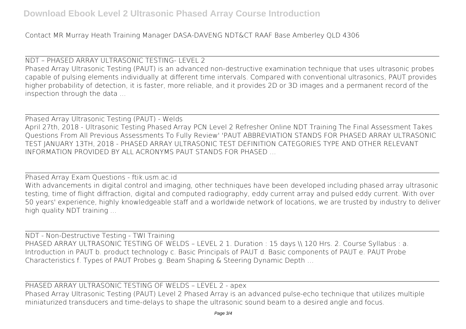Contact MR Murray Heath Training Manager DASA-DAVENG NDT&CT RAAF Base Amberley QLD 4306

NDT – PHASED ARRAY ULTRASONIC TESTING- LEVEL 2 Phased Array Ultrasonic Testing (PAUT) is an advanced non-destructive examination technique that uses ultrasonic probes capable of pulsing elements individually at different time intervals. Compared with conventional ultrasonics, PAUT provides higher probability of detection, it is faster, more reliable, and it provides 2D or 3D images and a permanent record of the inspection through the data ...

Phased Array Ultrasonic Testing (PAUT) - Welds April 27th, 2018 - Ultrasonic Testing Phased Array PCN Level 2 Refresher Online NDT Training The Final Assessment Takes Questions From All Previous Assessments To Fully Review' 'PAUT ABBREVIATION STANDS FOR PHASED ARRAY ULTRASONIC TEST JANUARY 13TH, 2018 - PHASED ARRAY ULTRASONIC TEST DEFINITION CATEGORIES TYPE AND OTHER RELEVANT INFORMATION PROVIDED BY ALL ACRONYMS PAUT STANDS FOR PHASED ...

Phased Array Exam Questions - ftik.usm.ac.id With advancements in digital control and imaging, other techniques have been developed including phased array ultrasonic testing, time of flight diffraction, digital and computed radiography, eddy current array and pulsed eddy current. With over 50 years' experience, highly knowledgeable staff and a worldwide network of locations, we are trusted by industry to deliver high quality NDT training ...

NDT - Non-Destructive Testing - TWI Training PHASED ARRAY ULTRASONIC TESTING OF WELDS - LEVEL 2 1. Duration : 15 days \\ 120 Hrs. 2. Course Syllabus : a. Introduction in PAUT b. product technology c. Basic Principals of PAUT d. Basic components of PAUT e. PAUT Probe Characteristics f. Types of PAUT Probes g. Beam Shaping & Steering Dynamic Depth …

PHASED ARRAY ULTRASONIC TESTING OF WELDS – LEVEL 2 - apex Phased Array Ultrasonic Testing (PAUT) Level 2 Phased Array is an advanced pulse-echo technique that utilizes multiple miniaturized transducers and time-delays to shape the ultrasonic sound beam to a desired angle and focus.